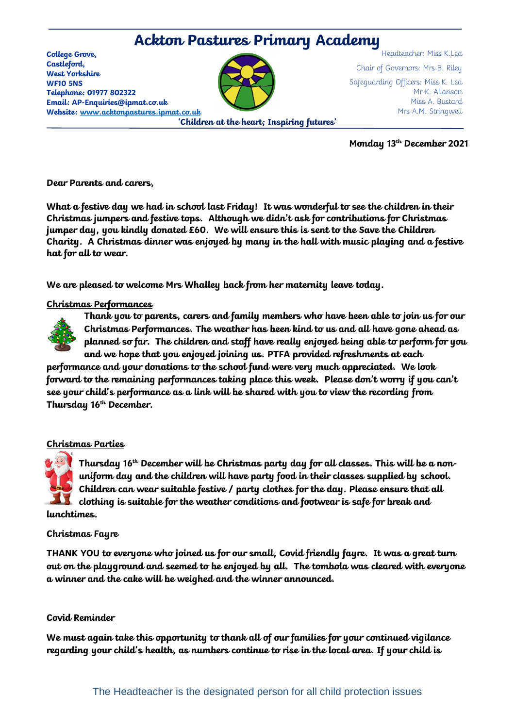# **Ackton Pastures Primary Academy**

**College Grove, Castleford, West Yorkshire WF10 5NS Telephone: 01977 802322 Email: AP-Enquiries@ipmat.co.uk Website: [www.acktonpastures.ipmat.co.uk](http://www.acktonpastures.ipmat.co.uk/)**



**'Children at the heart; Inspiring futures'**

Headteacher: Miss K.Lea Chair of Governors: Mrs B. Riley Safeguarding Officers: Miss K. Lea Mr K. Allanson Miss A. Bustard Mrs A.M. Stringwell

**Monday 13th December 2021**

**Dear Parents and carers,** 

**What a festive day we had in school last Friday! It was wonderful to see the children in their Christmas jumpers and festive tops. Although we didn't ask for contributions for Christmas jumper day, you kindly donated £60. We will ensure this is sent to the Save the Children Charity. A Christmas dinner was enjoyed by many in the hall with music playing and a festive hat for all to wear.**

**We are pleased to welcome Mrs Whalley back from her maternity leave today.**

## **Christmas Performances**



**Thank you to parents, carers and family members who have been able to join us for our Christmas Performances. The weather has been kind to us and all have gone ahead as planned so far. The children and staff have really enjoyed being able to perform for you and we hope that you enjoyed joining us. PTFA provided refreshments at each** 

**performance and your donations to the school fund were very much appreciated. We look forward to the remaining performances taking place this week. Please don't worry if you can't see your child's performance as a link will be shared with you to view the recording from Thursday 16th December.**

## **Christmas Parties**

**Thursday 16th December will be Christmas party day for all classes. This will be a nonuniform day and the children will have party food in their classes supplied by school. Children can wear suitable festive / party clothes for the day. Please ensure that all clothing is suitable for the weather conditions and footwear is safe for break and lunchtimes.**

#### **Christmas Fayre**

**THANK YOU to everyone who joined us for our small, Covid friendly fayre. It was a great turn out on the playground and seemed to be enjoyed by all. The tombola was cleared with everyone a winner and the cake will be weighed and the winner announced.** 

## **Covid Reminder**

**We must again take this opportunity to thank all of our families for your continued vigilance regarding your child's health, as numbers continue to rise in the local area. If your child is**